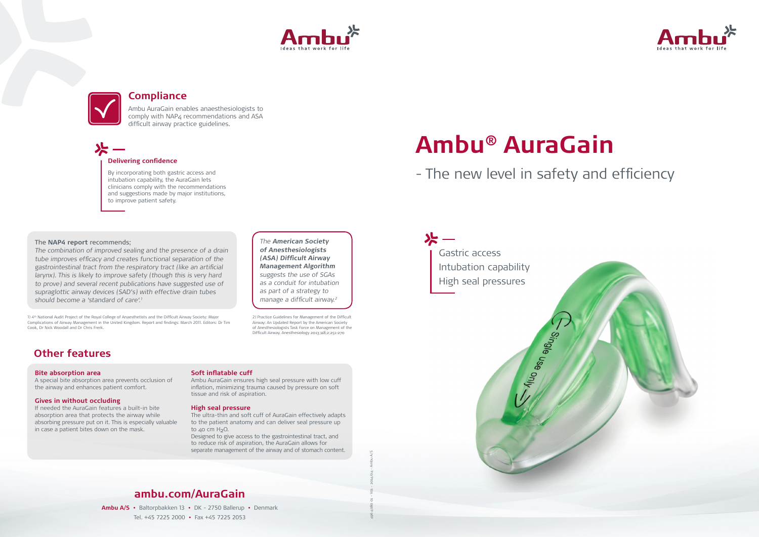# **Ambu® AuraGain** - The new level in safety and efficiency

Single yase only.

## **ambu.com/AuraGain**

**Ambu A/S •** Baltorpbakken 13 **•** DK - 2750 Ballerup **•** Denmark Tel. +45 7225 2000 **•** Fax +45 7225 2053





The combination of improved sealing and the presence of a drain tube improves efficacy and creates functional separation of the gastrointestinal tract from the respiratory tract (like an artificial larynx). This is likely to improve safety (though this is very hard to prove) and several recent publications have suggested use of supraglottic airway devices (SAD's) with effective drain tubes should become a 'standard of care'.<sup>1</sup>

Gastric access

Intubation capability

High seal pressures

### The **NAP4 report** recommends;

The **American Society of Anesthesiologists (ASA) Difficult Airway Management Algorithm**  suggests the use of SGAs as a conduit for intubation as part of a strategy to manage a difficult airway.<sup>2</sup>

The ultra-thin and soft cuff of AuraGain effectively adapts to the patient anatomy and can deliver seal pressure up to 40 cm  $H_2O$ .

## **Other features**

### **Bite absorption area**

A special bite absorption area prevents occlusion of the airway and enhances patient comfort.

### **Gives in without occluding**

If needed the AuraGain features a built-in bite absorption area that protects the airway while absorbing pressure put on it. This is especially valuable in case a patient bites down on the mask.

1) 4th National Audit Project of the Royal College of Anaesthetists and the Difficult Airway Society: Major Complications of Airway Management in the United Kingdom. Report and findings: March 2011. Editors: Dr Tim Cook, Dr Nick Woodall and Dr Chris Frerk.

### **Soft inflatable cuff**

Ambu AuraGain ensures high seal pressure with low cuff inflation, minimizing trauma caused by pressure on soft tissue and risk of aspiration.

### **High seal pressure**

Designed to give access to the gastrointestinal tract, and to reduce risk of aspiration, the AuraGain allows for separate management of the airway and of stomach content.

### **Delivering confidence**

By incorporating both gastric access and intubation capability, the AuraGain lets clinicians comply with the recommendations and suggestions made by major institutions, to improve patient safety.





## **Compliance**

Ambu AuraGain enables anaesthesiologists to comply with NAP4 recommendations and ASA difficult airway practice guidelines.

2) Practice Guidelines for Management of the Difficult Airway: An Updated Report by the American Society of Anesthesiologists Task Force on Management of the Difficult Airway. Anesthesiology 2013;118;2;251-270

496 4080 01 - V01 - 2014/04 - Ambu A/S